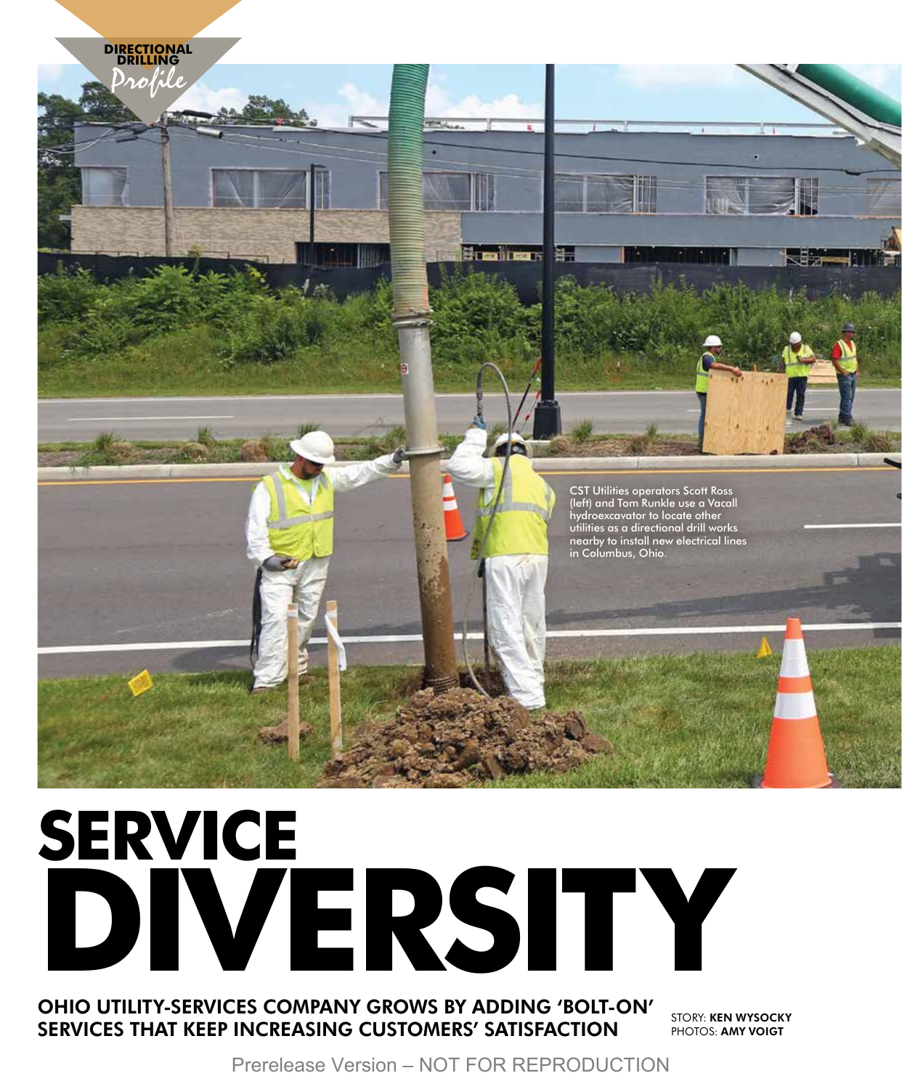

# **SERVICE DIVERSITY**

# OHIO UTILITY-SERVICES COMPANY GROWS BY ADDING 'BOLT-ON' SERVICES THAT KEEP INCREASING CUSTOMERS' SATISFACTION

STORY: KEN WYSOCKY PHOTOS: AMY VOIGT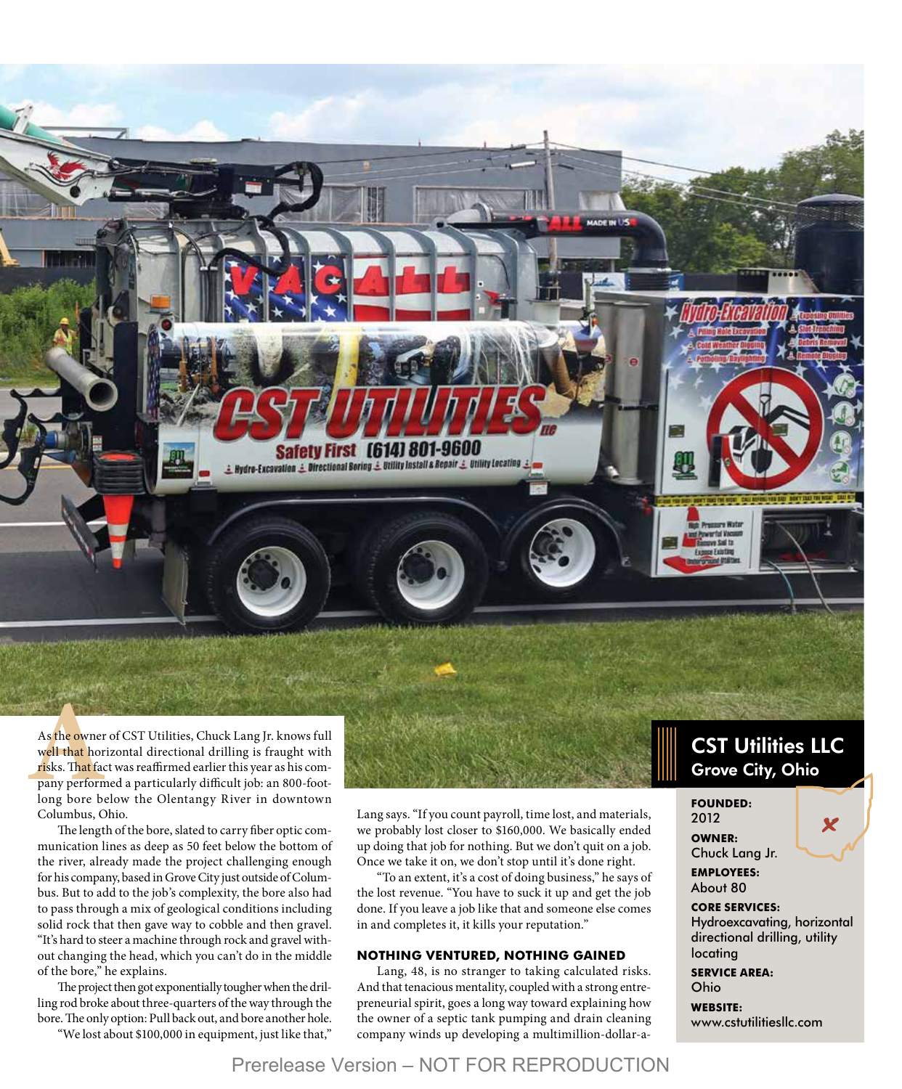

As the owner of CST Utilities, Chuck Lang Jr. knows full<br>well that horizontal directional drilling is fraught with<br>risks. That fact was reaffirmed earlier this year as his com-<br>pany performed a particularly difficult job: well that horizontal directional drilling is fraught with risks. That fact was reaffirmed earlier this year as his company performed a particularly difficult job: an 800-footlong bore below the Olentangy River in downtown Columbus, Ohio.

The length of the bore, slated to carry fiber optic communication lines as deep as 50 feet below the bottom of the river, already made the project challenging enough for his company, based in Grove City just outside of Columbus. But to add to the job's complexity, the bore also had to pass through a mix of geological conditions including solid rock that then gave way to cobble and then gravel. "It's hard to steer a machine through rock and gravel without changing the head, which you can't do in the middle of the bore," he explains.

The project then got exponentially tougher when the drilling rod broke about three-quarters of the way through the bore. The only option: Pull back out, and bore another hole.

"We lost about \$100,000 in equipment, just like that,"

Lang says. "If you count payroll, time lost, and materials, we probably lost closer to \$160,000. We basically ended up doing that job for nothing. But we don't quit on a job. Once we take it on, we don't stop until it's done right.

"To an extent, it's a cost of doing business," he says of the lost revenue. "You have to suck it up and get the job done. If you leave a job like that and someone else comes in and completes it, it kills your reputation."

#### **NOTHING VENTURED, NOTHING GAINED**

Lang, 48, is no stranger to taking calculated risks. And that tenacious mentality, coupled with a strong entrepreneurial spirit, goes a long way toward explaining how the owner of a septic tank pumping and drain cleaning company winds up developing a multimillion-dollar-a-

# **CST Utilities LLC** Grove City, Ohio

### **FOUNDED:**

2012 **OWNER:**  Chuck Lang Jr. X

**EMPLOYEES:**  About 80

#### **CORE SERVICES:**

Hydroexcavating, horizontal directional drilling, utility locating

**SERVICE AREA:**  Ohio

**WEBSITE:**  www.cstutilitiesllc.com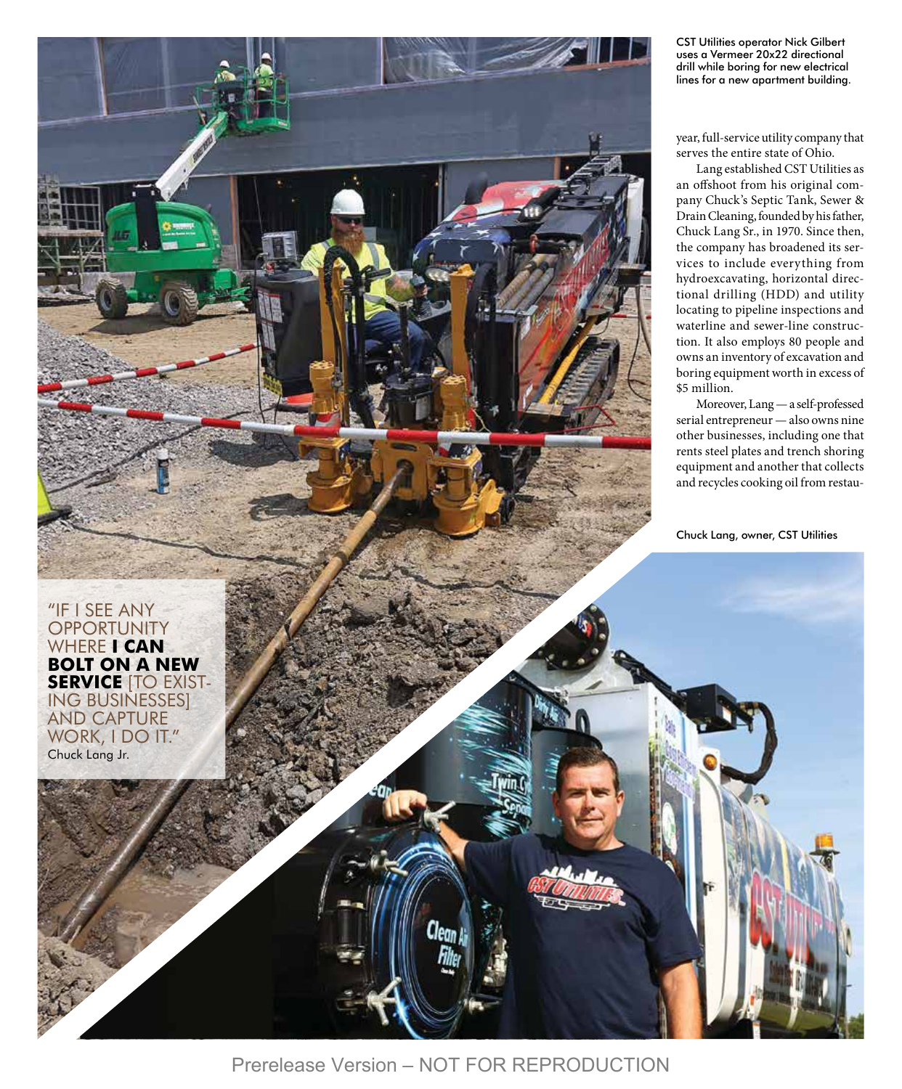CST Utilities operator Nick Gilbert uses a Vermeer 20x22 directional drill while boring for new electrical lines for a new apartment building.

year, full-service utility company that serves the entire state of Ohio.

Lang established CST Utilities as an offshoot from his original com pany Chuck's Septic Tank, Sewer & Drain Cleaning, founded by his father, Chuck Lang Sr., in 1970. Since then, the company has broadened its ser vices to include everything from hydroexcavating, horizontal directional drilling (HDD) and utility locating to pipeline inspections and waterline and sewer-line construc tion. It also employs 80 people and owns an inventory of excavation and boring equipment worth in excess of \$5 million.

Moreover, Lang — a self-professed serial entrepreneur — also owns nine other businesses, including one that rents steel plates and trench shoring equipment and another that collects and recycles cooking oil from restau -

Chuck Lang, owner, CST Utilities

"IF I SEE ANY **OPPORTUNITY** WHERE **I CAN BOLT ON A NEW SERVICE** [TO EXIST - ING BUSINESSES] AND CAPTURE WORK, I DO IT." Chuck Lang Jr.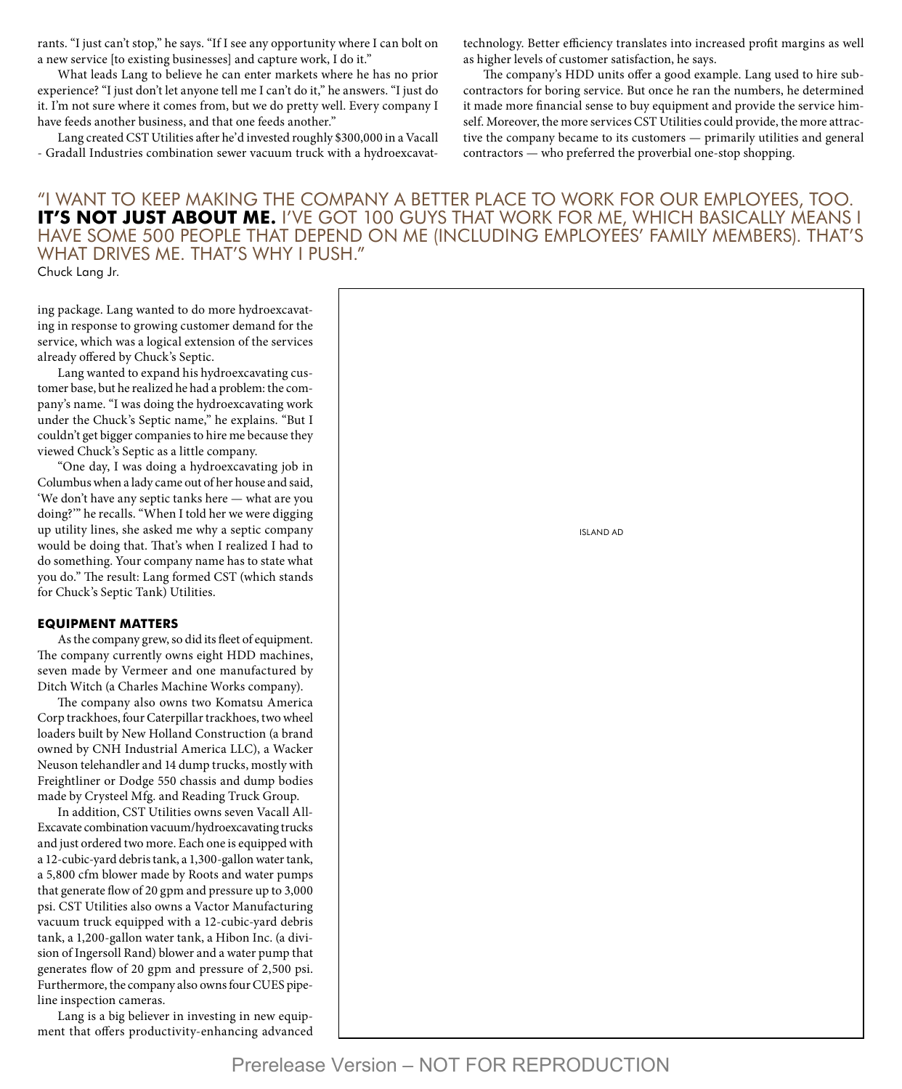rants. "I just can't stop," he says. "If I see any opportunity where I can bolt on a new service [to existing businesses] and capture work, I do it."

What leads Lang to believe he can enter markets where he has no prior experience? "I just don't let anyone tell me I can't do it," he answers. "I just do it. I'm not sure where it comes from, but we do pretty well. Every company I have feeds another business, and that one feeds another."

Lang created CST Utilities after he'd invested roughly \$300,000 in a Vacall - Gradall Industries combination sewer vacuum truck with a hydroexcavattechnology. Better efficiency translates into increased profit margins as well as higher levels of customer satisfaction, he says.

The company's HDD units offer a good example. Lang used to hire subcontractors for boring service. But once he ran the numbers, he determined it made more financial sense to buy equipment and provide the service himself. Moreover, the more services CST Utilities could provide, the more attractive the company became to its customers — primarily utilities and general contractors — who preferred the proverbial one-stop shopping.

# "I WANT TO KEEP MAKING THE COMPANY A BETTER PLACE TO WORK FOR OUR EMPLOYEES, TOO. **IT'S NOT JUST ABOUT ME.** I'VE GOT 100 GUYS THAT WORK FOR ME, WHICH BASICALLY MEANS I HAVE SOME 500 PEOPLE THAT DEPEND ON ME (INCLUDING EMPLOYEES' FAMILY MEMBERS). THAT'S WHAT DRIVES ME. THAT'S WHY I PUSH

Chuck Lang Jr.

ing package. Lang wanted to do more hydroexcavating in response to growing customer demand for the service, which was a logical extension of the services already offered by Chuck's Septic.

Lang wanted to expand his hydroexcavating customer base, but he realized he had a problem: the company's name. "I was doing the hydroexcavating work under the Chuck's Septic name," he explains. "But I couldn't get bigger companies to hire me because they viewed Chuck's Septic as a little company.

"One day, I was doing a hydroexcavating job in Columbus when a lady came out of her house and said, 'We don't have any septic tanks here — what are you doing?'" he recalls. "When I told her we were digging up utility lines, she asked me why a septic company would be doing that. That's when I realized I had to do something. Your company name has to state what you do." The result: Lang formed CST (which stands for Chuck's Septic Tank) Utilities.

#### **EQUIPMENT MATTERS**

As the company grew, so did its fleet of equipment. The company currently owns eight HDD machines, seven made by Vermeer and one manufactured by Ditch Witch (a Charles Machine Works company).

The company also owns two Komatsu America Corp trackhoes, four Caterpillar trackhoes, two wheel loaders built by New Holland Construction (a brand owned by CNH Industrial America LLC), a Wacker Neuson telehandler and 14 dump trucks, mostly with Freightliner or Dodge 550 chassis and dump bodies made by Crysteel Mfg. and Reading Truck Group.

In addition, CST Utilities owns seven Vacall All-Excavate combination vacuum/hydroexcavating trucks and just ordered two more. Each one is equipped with a 12-cubic-yard debris tank, a 1,300-gallon water tank, a 5,800 cfm blower made by Roots and water pumps that generate flow of 20 gpm and pressure up to 3,000 psi. CST Utilities also owns a Vactor Manufacturing vacuum truck equipped with a 12-cubic-yard debris tank, a 1,200-gallon water tank, a Hibon Inc. (a division of Ingersoll Rand) blower and a water pump that generates flow of 20 gpm and pressure of 2,500 psi. Furthermore, the company also owns four CUES pipeline inspection cameras.

Lang is a big believer in investing in new equipment that offers productivity-enhancing advanced

| H." |                  |
|-----|------------------|
|     |                  |
|     |                  |
|     |                  |
|     | <b>ISLAND AD</b> |
|     |                  |
|     |                  |
|     |                  |
|     |                  |
|     |                  |
|     |                  |
|     |                  |
|     |                  |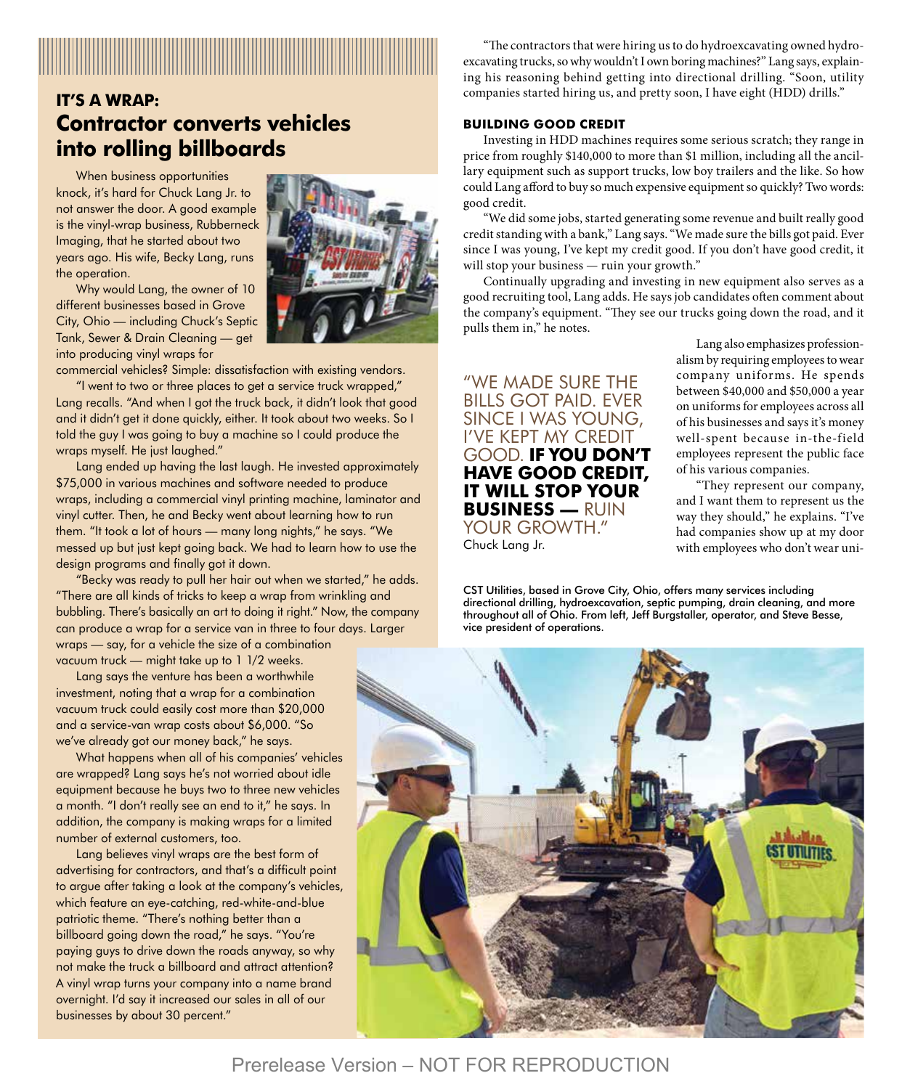# **IT'S A WRAP:**

# **Contractor converts vehicles into rolling billboards**

When business opportunities knock, it's hard for Chuck Lang Jr. to not answer the door. A good example is the vinyl-wrap business, Rubberneck Imaging, that he started about two years ago. His wife, Becky Lang, runs the operation.

Why would Lang, the owner of 10 different businesses based in Grove City, Ohio — including Chuck's Septic Tank, Sewer & Drain Cleaning — get into producing vinyl wraps for

commercial vehicles? Simple: dissatisfaction with existing vendors.

"I went to two or three places to get a service truck wrapped," Lang recalls. "And when I got the truck back, it didn't look that good and it didn't get it done quickly, either. It took about two weeks. So I told the guy I was going to buy a machine so I could produce the wraps myself. He just laughed."

Lang ended up having the last laugh. He invested approximately \$75,000 in various machines and software needed to produce wraps, including a commercial vinyl printing machine, laminator and vinyl cutter. Then, he and Becky went about learning how to run them. "It took a lot of hours — many long nights," he says. "We messed up but just kept going back. We had to learn how to use the design programs and finally got it down.

"Becky was ready to pull her hair out when we started," he adds. "There are all kinds of tricks to keep a wrap from wrinkling and bubbling. There's basically an art to doing it right." Now, the company can produce a wrap for a service van in three to four days. Larger wraps — say, for a vehicle the size of a combination vacuum truck — might take up to 1 1/2 weeks.

Lang says the venture has been a worthwhile investment, noting that a wrap for a combination vacuum truck could easily cost more than \$20,000 and a service-van wrap costs about \$6,000. "So we've already got our money back," he says.

What happens when all of his companies' vehicles are wrapped? Lang says he's not worried about idle equipment because he buys two to three new vehicles a month. "I don't really see an end to it," he says. In addition, the company is making wraps for a limited number of external customers, too.

Lang believes vinyl wraps are the best form of advertising for contractors, and that's a difficult point to argue after taking a look at the company's vehicles, which feature an eye-catching, red-white-and-blue patriotic theme. "There's nothing better than a billboard going down the road," he says. "You're paying guys to drive down the roads anyway, so why not make the truck a billboard and attract attention? A vinyl wrap turns your company into a name brand overnight. I'd say it increased our sales in all of our businesses by about 30 percent."



"The contractors that were hiring us to do hydroexcavating owned hydroexcavating trucks, so why wouldn't I own boring machines?" Lang says, explaining his reasoning behind getting into directional drilling. "Soon, utility companies started hiring us, and pretty soon, I have eight (HDD) drills."

### **BUILDING GOOD CREDIT**

Investing in HDD machines requires some serious scratch; they range in price from roughly \$140,000 to more than \$1 million, including all the ancillary equipment such as support trucks, low boy trailers and the like. So how could Lang afford to buy so much expensive equipment so quickly? Two words: good credit.

"We did some jobs, started generating some revenue and built really good credit standing with a bank," Lang says. "We made sure the bills got paid. Ever since I was young, I've kept my credit good. If you don't have good credit, it will stop your business — ruin your growth."

Continually upgrading and investing in new equipment also serves as a good recruiting tool, Lang adds. He says job candidates often comment about the company's equipment. "They see our trucks going down the road, and it pulls them in," he notes.

"WE MADE SURE THE BILLS GOT PAID. EVER SINCE I WAS YOUNG, I'VE KEPT MY CREDIT GOOD. **IF YOU DON'T HAVE GOOD CREDIT, IT WILL STOP YOUR BUSINESS —** RUIN YOUR GROWTH." Chuck Lang Jr.

Lang also emphasizes professionalism by requiring employees to wear company uniforms. He spends between \$40,000 and \$50,000 a year on uniforms for employees across all of his businesses and says it's money well-spent because in-the-field employees represent the public face of his various companies.

"They represent our company, and I want them to represent us the way they should," he explains. "I've had companies show up at my door with employees who don't wear uni-

CST Utilities, based in Grove City, Ohio, offers many services including directional drilling, hydroexcavation, septic pumping, drain cleaning, and more throughout all of Ohio. From left, Jeff Burgstaller, operator, and Steve Besse, vice president of operations.